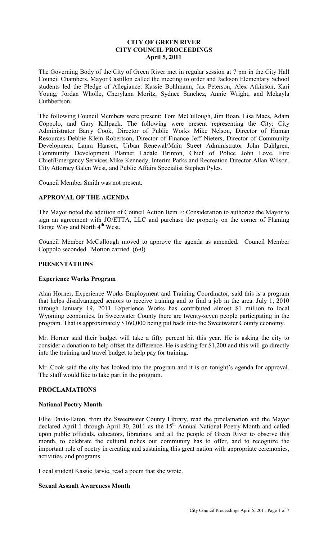## **CITY OF GREEN RIVER CITY COUNCIL PROCEEDINGS April 5, 2011**

The Governing Body of the City of Green River met in regular session at 7 pm in the City Hall Council Chambers. Mayor Castillon called the meeting to order and Jackson Elementary School students led the Pledge of Allegiance: Kassie Bohlmann, Jax Peterson, Alex Atkinson, Kari Young, Jordan Wholle, Cherylann Moritz, Sydnee Sanchez, Annie Wright, and Mckayla Cuthbertson.

The following Council Members were present: Tom McCullough, Jim Boan, Lisa Maes, Adam Coppolo, and Gary Killpack. The following were present representing the City: City Administrator Barry Cook, Director of Public Works Mike Nelson, Director of Human Resources Debbie Klein Robertson, Director of Finance Jeff Nieters, Director of Community Development Laura Hansen, Urban Renewal/Main Street Administrator John Dahlgren, Community Development Planner Ladale Brinton, Chief of Police John Love, Fire Chief/Emergency Services Mike Kennedy, Interim Parks and Recreation Director Allan Wilson, City Attorney Galen West, and Public Affairs Specialist Stephen Pyles.

Council Member Smith was not present.

## **APPROVAL OF THE AGENDA**

The Mayor noted the addition of Council Action Item F: Consideration to authorize the Mayor to sign an agreement with JO/ETTA, LLC and purchase the property on the corner of Flaming Gorge Way and North 4<sup>th</sup> West.

Council Member McCullough moved to approve the agenda as amended. Council Member Coppolo seconded. Motion carried. (6-0)

## **PRESENTATIONS**

#### **Experience Works Program**

Alan Horner, Experience Works Employment and Training Coordinator, said this is a program that helps disadvantaged seniors to receive training and to find a job in the area. July 1, 2010 through January 19, 2011 Experience Works has contributed almost \$1 million to local Wyoming economies. In Sweetwater County there are twenty-seven people participating in the program. That is approximately \$160,000 being put back into the Sweetwater County economy.

Mr. Horner said their budget will take a fifty percent hit this year. He is asking the city to consider a donation to help offset the difference. He is asking for \$1,200 and this will go directly into the training and travel budget to help pay for training.

Mr. Cook said the city has looked into the program and it is on tonight's agenda for approval. The staff would like to take part in the program.

## **PROCLAMATIONS**

#### **National Poetry Month**

Ellie Davis-Eaton, from the Sweetwater County Library, read the proclamation and the Mayor declared April 1 through April 30, 2011 as the  $15<sup>th</sup>$  Annual National Poetry Month and called upon public officials, educators, librarians, and all the people of Green River to observe this month, to celebrate the cultural riches our community has to offer, and to recognize the important role of poetry in creating and sustaining this great nation with appropriate ceremonies, activities, and programs.

Local student Kassie Jarvie, read a poem that she wrote.

#### **Sexual Assault Awareness Month**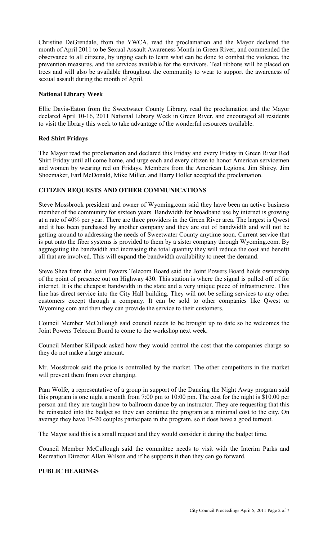Christine DeGrendale, from the YWCA, read the proclamation and the Mayor declared the month of April 2011 to be Sexual Assault Awareness Month in Green River, and commended the observance to all citizens, by urging each to learn what can be done to combat the violence, the prevention measures, and the services available for the survivors. Teal ribbons will be placed on trees and will also be available throughout the community to wear to support the awareness of sexual assault during the month of April.

#### **National Library Week**

Ellie Davis-Eaton from the Sweetwater County Library, read the proclamation and the Mayor declared April 10-16, 2011 National Library Week in Green River, and encouraged all residents to visit the library this week to take advantage of the wonderful resources available.

#### **Red Shirt Fridays**

The Mayor read the proclamation and declared this Friday and every Friday in Green River Red Shirt Friday until all come home, and urge each and every citizen to honor American servicemen and women by wearing red on Fridays. Members from the American Legions, Jim Shirey, Jim Shoemaker, Earl McDonald, Mike Miller, and Harry Holler accepted the proclamation.

## **CITIZEN REQUESTS AND OTHER COMMUNICATIONS**

Steve Mossbrook president and owner of Wyoming.com said they have been an active business member of the community for sixteen years. Bandwidth for broadband use by internet is growing at a rate of 40% per year. There are three providers in the Green River area. The largest is Qwest and it has been purchased by another company and they are out of bandwidth and will not be getting around to addressing the needs of Sweetwater County anytime soon. Current service that is put onto the fiber systems is provided to them by a sister company through Wyoming.com. By aggregating the bandwidth and increasing the total quantity they will reduce the cost and benefit all that are involved. This will expand the bandwidth availability to meet the demand.

Steve Shea from the Joint Powers Telecom Board said the Joint Powers Board holds ownership of the point of presence out on Highway 430. This station is where the signal is pulled off of for internet. It is the cheapest bandwidth in the state and a very unique piece of infrastructure. This line has direct service into the City Hall building. They will not be selling services to any other customers except through a company. It can be sold to other companies like Qwest or Wyoming.com and then they can provide the service to their customers.

Council Member McCullough said council needs to be brought up to date so he welcomes the Joint Powers Telecom Board to come to the workshop next week.

Council Member Killpack asked how they would control the cost that the companies charge so they do not make a large amount.

Mr. Mossbrook said the price is controlled by the market. The other competitors in the market will prevent them from over charging.

Pam Wolfe, a representative of a group in support of the Dancing the Night Away program said this program is one night a month from 7:00 pm to 10:00 pm. The cost for the night is \$10.00 per person and they are taught how to ballroom dance by an instructor. They are requesting that this be reinstated into the budget so they can continue the program at a minimal cost to the city. On average they have 15-20 couples participate in the program, so it does have a good turnout.

The Mayor said this is a small request and they would consider it during the budget time.

Council Member McCullough said the committee needs to visit with the Interim Parks and Recreation Director Allan Wilson and if he supports it then they can go forward.

#### **PUBLIC HEARINGS**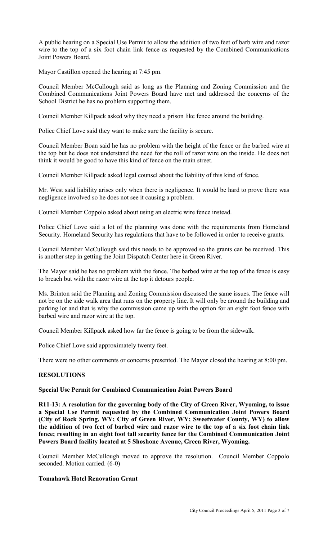A public hearing on a Special Use Permit to allow the addition of two feet of barb wire and razor wire to the top of a six foot chain link fence as requested by the Combined Communications Joint Powers Board.

Mayor Castillon opened the hearing at 7:45 pm.

Council Member McCullough said as long as the Planning and Zoning Commission and the Combined Communications Joint Powers Board have met and addressed the concerns of the School District he has no problem supporting them.

Council Member Killpack asked why they need a prison like fence around the building.

Police Chief Love said they want to make sure the facility is secure.

Council Member Boan said he has no problem with the height of the fence or the barbed wire at the top but he does not understand the need for the roll of razor wire on the inside. He does not think it would be good to have this kind of fence on the main street.

Council Member Killpack asked legal counsel about the liability of this kind of fence.

Mr. West said liability arises only when there is negligence. It would be hard to prove there was negligence involved so he does not see it causing a problem.

Council Member Coppolo asked about using an electric wire fence instead.

Police Chief Love said a lot of the planning was done with the requirements from Homeland Security. Homeland Security has regulations that have to be followed in order to receive grants.

Council Member McCullough said this needs to be approved so the grants can be received. This is another step in getting the Joint Dispatch Center here in Green River.

The Mayor said he has no problem with the fence. The barbed wire at the top of the fence is easy to breach but with the razor wire at the top it detours people.

Ms. Brinton said the Planning and Zoning Commission discussed the same issues. The fence will not be on the side walk area that runs on the property line. It will only be around the building and parking lot and that is why the commission came up with the option for an eight foot fence with barbed wire and razor wire at the top.

Council Member Killpack asked how far the fence is going to be from the sidewalk.

Police Chief Love said approximately twenty feet.

There were no other comments or concerns presented. The Mayor closed the hearing at 8:00 pm.

## **RESOLUTIONS**

## **Special Use Permit for Combined Communication Joint Powers Board**

**R11-13: A resolution for the governing body of the City of Green River, Wyoming, to issue a Special Use Permit requested by the Combined Communication Joint Powers Board (City of Rock Spring, WY; City of Green River, WY; Sweetwater County, WY) to allow the addition of two feet of barbed wire and razor wire to the top of a six foot chain link fence; resulting in an eight foot tall security fence for the Combined Communication Joint Powers Board facility located at 5 Shoshone Avenue, Green River, Wyoming.** 

Council Member McCullough moved to approve the resolution. Council Member Coppolo seconded. Motion carried. (6-0)

## **Tomahawk Hotel Renovation Grant**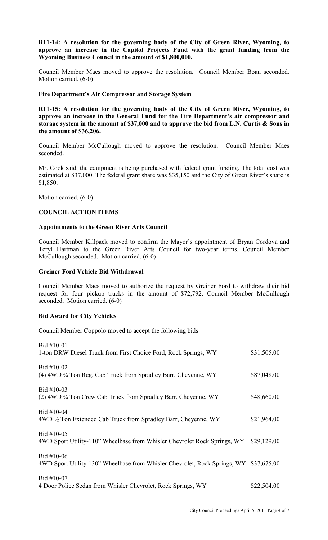## **R11-14: A resolution for the governing body of the City of Green River, Wyoming, to approve an increase in the Capitol Projects Fund with the grant funding from the Wyoming Business Council in the amount of \$1,800,000.**

Council Member Maes moved to approve the resolution. Council Member Boan seconded. Motion carried. (6-0)

#### **Fire Department's Air Compressor and Storage System**

**R11-15: A resolution for the governing body of the City of Green River, Wyoming, to approve an increase in the General Fund for the Fire Department's air compressor and storage system in the amount of \$37,000 and to approve the bid from L.N. Curtis & Sons in the amount of \$36,206.**

Council Member McCullough moved to approve the resolution. Council Member Maes seconded.

Mr. Cook said, the equipment is being purchased with federal grant funding. The total cost was estimated at \$37,000. The federal grant share was \$35,150 and the City of Green River's share is \$1,850.

Motion carried. (6-0)

#### **COUNCIL ACTION ITEMS**

#### **Appointments to the Green River Arts Council**

Council Member Killpack moved to confirm the Mayor's appointment of Bryan Cordova and Teryl Hartman to the Green River Arts Council for two-year terms. Council Member McCullough seconded. Motion carried. (6-0)

#### **Greiner Ford Vehicle Bid Withdrawal**

Council Member Maes moved to authorize the request by Greiner Ford to withdraw their bid request for four pickup trucks in the amount of \$72,792. Council Member McCullough seconded. Motion carried. (6-0)

## **Bid Award for City Vehicles**

Council Member Coppolo moved to accept the following bids:

| $Bid #10-01$<br>1-ton DRW Diesel Truck from First Choice Ford, Rock Springs, WY                       | \$31,505.00 |
|-------------------------------------------------------------------------------------------------------|-------------|
| Bid #10-02<br>(4) 4WD <sup>3</sup> / <sub>4</sub> Ton Reg. Cab Truck from Spradley Barr, Cheyenne, WY | \$87,048.00 |
| Bid #10-03<br>(2) 4WD <sup>3</sup> / <sub>4</sub> Ton Crew Cab Truck from Spradley Barr, Cheyenne, WY | \$48,660.00 |
| $Bid #10-04$<br>4WD 1/2 Ton Extended Cab Truck from Spradley Barr, Cheyenne, WY                       | \$21,964.00 |
| Bid #10-05<br>4WD Sport Utility-110" Wheelbase from Whisler Chevrolet Rock Springs, WY                | \$29,129.00 |
| Bid #10-06<br>4WD Sport Utility-130" Wheelbase from Whisler Chevrolet, Rock Springs, WY               | \$37,675.00 |
| Bid #10-07<br>4 Door Police Sedan from Whisler Chevrolet, Rock Springs, WY                            | \$22,504.00 |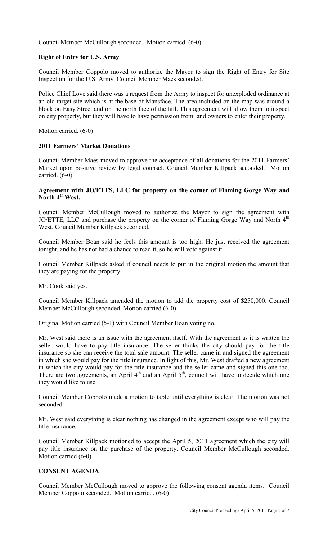Council Member McCullough seconded. Motion carried. (6-0)

## **Right of Entry for U.S. Army**

Council Member Coppolo moved to authorize the Mayor to sign the Right of Entry for Site Inspection for the U.S. Army. Council Member Maes seconded.

Police Chief Love said there was a request from the Army to inspect for unexploded ordinance at an old target site which is at the base of Mansface. The area included on the map was around a block on Easy Street and on the north face of the hill. This agreement will allow them to inspect on city property, but they will have to have permission from land owners to enter their property.

Motion carried. (6-0)

#### **2011 Farmers' Market Donations**

Council Member Maes moved to approve the acceptance of all donations for the 2011 Farmers' Market upon positive review by legal counsel. Council Member Killpack seconded. Motion carried. (6-0)

#### **Agreement with JO/ETTS, LLC for property on the corner of Flaming Gorge Way and North 4th West.**

Council Member McCullough moved to authorize the Mayor to sign the agreement with JO/ETTE, LLC and purchase the property on the corner of Flaming Gorge Way and North  $4<sup>th</sup>$ West. Council Member Killpack seconded.

Council Member Boan said he feels this amount is too high. He just received the agreement tonight, and he has not had a chance to read it, so he will vote against it.

Council Member Killpack asked if council needs to put in the original motion the amount that they are paying for the property.

Mr. Cook said yes.

Council Member Killpack amended the motion to add the property cost of \$250,000. Council Member McCullough seconded. Motion carried (6-0)

Original Motion carried (5-1) with Council Member Boan voting no.

Mr. West said there is an issue with the agreement itself. With the agreement as it is written the seller would have to pay title insurance. The seller thinks the city should pay for the title insurance so she can receive the total sale amount. The seller came in and signed the agreement in which she would pay for the title insurance. In light of this, Mr. West drafted a new agreement in which the city would pay for the title insurance and the seller came and signed this one too. There are two agreements, an April  $4<sup>th</sup>$  and an April  $5<sup>th</sup>$ , council will have to decide which one they would like to use.

Council Member Coppolo made a motion to table until everything is clear. The motion was not seconded.

Mr. West said everything is clear nothing has changed in the agreement except who will pay the title insurance.

Council Member Killpack motioned to accept the April 5, 2011 agreement which the city will pay title insurance on the purchase of the property. Council Member McCullough seconded. Motion carried (6-0)

#### **CONSENT AGENDA**

Council Member McCullough moved to approve the following consent agenda items. Council Member Coppolo seconded. Motion carried. (6-0)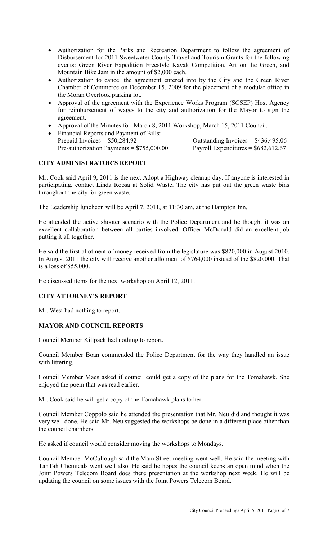- Authorization for the Parks and Recreation Department to follow the agreement of Disbursement for 2011 Sweetwater County Travel and Tourism Grants for the following events: Green River Expedition Freestyle Kayak Competition, Art on the Green, and Mountain Bike Jam in the amount of \$2,000 each.
- Authorization to cancel the agreement entered into by the City and the Green River Chamber of Commerce on December 15, 2009 for the placement of a modular office in the Moran Overlook parking lot.
- Approval of the agreement with the Experience Works Program (SCSEP) Host Agency for reimbursement of wages to the city and authorization for the Mayor to sign the agreement.
- Approval of the Minutes for: March 8, 2011 Workshop, March 15, 2011 Council.
- Financial Reports and Payment of Bills: Prepaid Invoices =  $$50,284.92$ <br>
Pre-authorization Payments =  $$755,000.00$ <br>
Payroll Expenditures =  $$682,612.67$ Pre-authorization Payments =  $$755,000.00$

# **CITY ADMINISTRATOR'S REPORT**

Mr. Cook said April 9, 2011 is the next Adopt a Highway cleanup day. If anyone is interested in participating, contact Linda Roosa at Solid Waste. The city has put out the green waste bins throughout the city for green waste.

The Leadership luncheon will be April 7, 2011, at 11:30 am, at the Hampton Inn.

He attended the active shooter scenario with the Police Department and he thought it was an excellent collaboration between all parties involved. Officer McDonald did an excellent job putting it all together.

He said the first allotment of money received from the legislature was \$820,000 in August 2010. In August 2011 the city will receive another allotment of \$764,000 instead of the \$820,000. That is a loss of \$55,000.

He discussed items for the next workshop on April 12, 2011.

## **CITY ATTORNEY'S REPORT**

Mr. West had nothing to report.

# **MAYOR AND COUNCIL REPORTS**

Council Member Killpack had nothing to report.

Council Member Boan commended the Police Department for the way they handled an issue with littering.

Council Member Maes asked if council could get a copy of the plans for the Tomahawk. She enjoyed the poem that was read earlier.

Mr. Cook said he will get a copy of the Tomahawk plans to her.

Council Member Coppolo said he attended the presentation that Mr. Neu did and thought it was very well done. He said Mr. Neu suggested the workshops be done in a different place other than the council chambers.

He asked if council would consider moving the workshops to Mondays.

Council Member McCullough said the Main Street meeting went well. He said the meeting with TahTah Chemicals went well also. He said he hopes the council keeps an open mind when the Joint Powers Telecom Board does there presentation at the workshop next week. He will be updating the council on some issues with the Joint Powers Telecom Board.